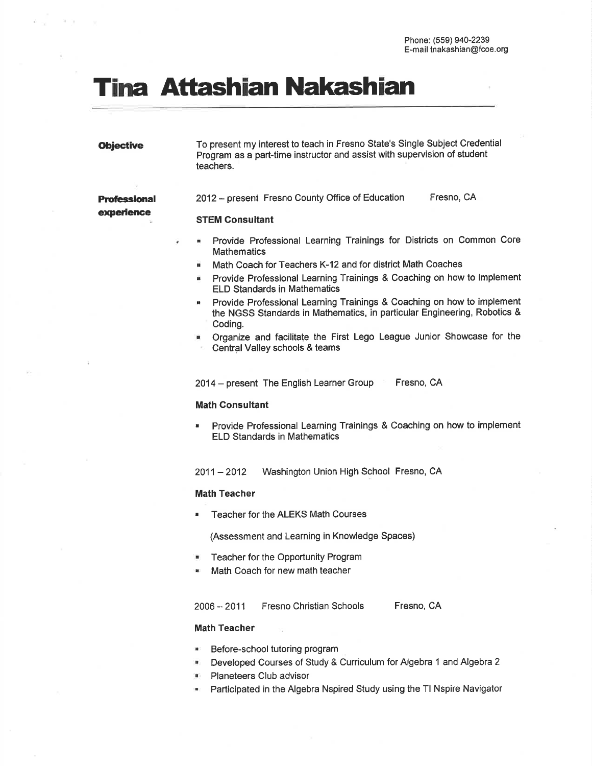# Tina Attashian Nakashian

**Obiective** To present my interest to teach in Fresno State's Single Subject Credential Program as a part-time instructor and assist with supervision of student teachers.

2012 - present Fresno County Office of Education Fresno, CA

# experience

¥

**Professional** 

- Provide Professional Learning Trainings for Districts on Common Core н **Mathematics**
- Math Coach for Teachers K-12 and for district Math Coaches  $\overline{a}$
- Provide Professional Learning Trainings & Coaching on how to implement ELD Standards in Mathematics I
- Provide Professional Learning Trainings & Coaching on how to implement the NGSS Standards in Mathematics, in particular Engineering, Robotics & Coding.
- Organize and facilitate the First Lego League Junior Showcase for the Central Valley schools & teams

2014 - present The English Learner Group Fresno, CA

# Math Consultant

STEM Consultant

. Provide Professional Learning Trainings & Coaching on how to implement ELD Standards in Mathematics

2011 - 2012 Washington Union High School Fresno, CA

# Math Teacher

Teacher for the ALEKS Math Courses

(Assessment and Learning in Knowledge Spaces)

- . Teacher for the Opportunity Program
- . Math Coach for new math teacher

# <sup>2006</sup>- 2011 Fresno Christian Schools Fresno, CA

# Math Teacher

- Before-school tutoring program
- Developed Courses of Study & Curriculum for Algebra 1 and Algebra 2 I
- Planeteers Club advisor
- Participated in the Algebra Nspired Study using the Tl Nspire Navigator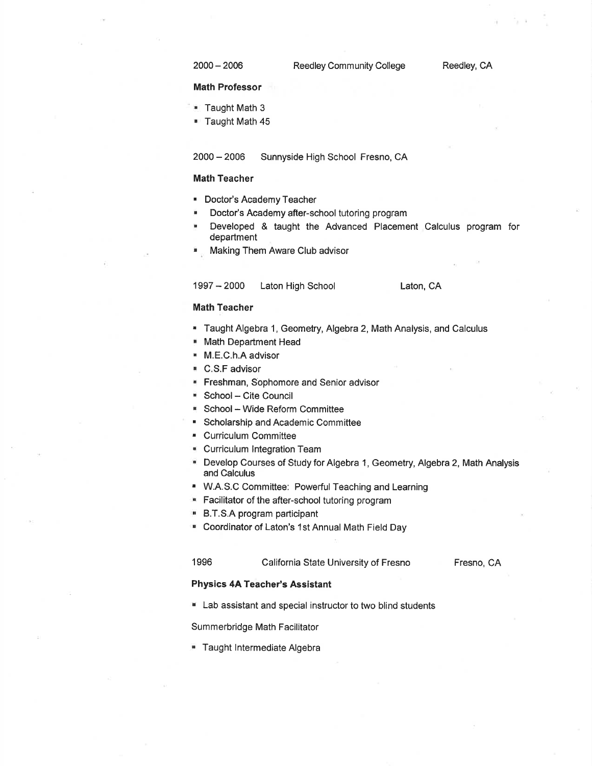<sup>2000</sup>- 2006

#### Math Professor

- **Taught Math 3**
- **. Taught Math 45**

<sup>2000</sup>- 2006 Sunnyside High School Fresno, CA

# Math Teacher

- ' Doctor's Academy Teacher
- . Doctor's Academy after-school tutoring program
- . Developed & taught the Advanced Placement Calculus program for department
- . Making Them Aware Club advisor

# <sup>1997</sup>- 2000 Laton High School

Laton, CA

# Math Teacher

- . Taught Algebra 1, Geometry, Algebra 2, Math Analysis, and Calculus
- . Math Department Head
- . M.E.C.h.A advisor
- . C.S.F advisor
- **FIFERMAN**, Sophomore and Senior advisor
- . School- Cite Council
- . School Wide Reform Committee
- . Scholarship and Academic Committee
- . Curriculum Committee
- **Curriculum Integration Team**
- . Develop Courses of Study for Algebra 1, Geometry, Algebra 2, Math Analysis and Calculus
- . W.A.S.C Committee: PowerfulTeaching and Learning
- **E** Facilitator of the after-school tutoring program
- . B.T.S.A program participant
- . Coordinator of Laton's 1st Annual Math Field Day

# 1996 California State University of Fresno

Fresno, CA

### Physics 4A Teacher's Assistant

 $\blacksquare$  Lab assistant and special instructor to two blind students

Summerbridge Math Facilitator

**Taught Intermediate Algebra**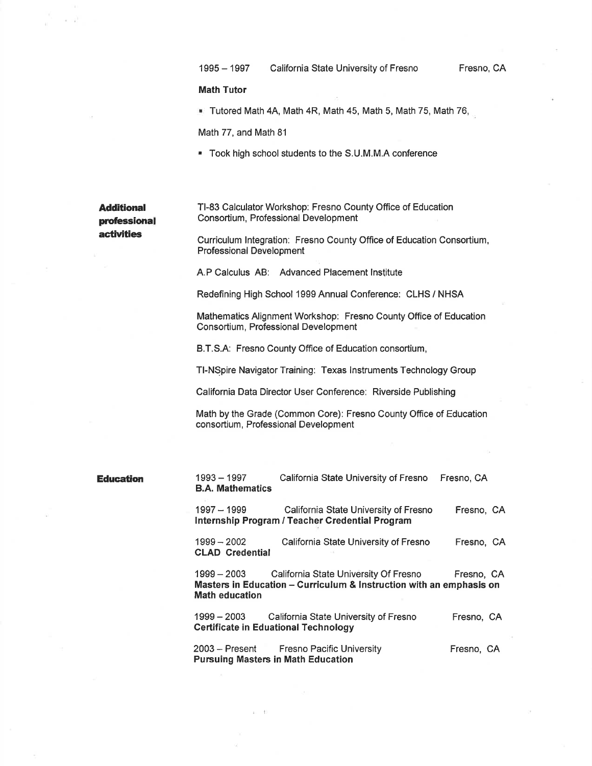### Math Tutor

. Tutored Math 4A, Math 4R, Math 45, Math 5, Math 75, Math 76,

Math 77, and Math 81

' Took high school students to the S.U.M.M.A conference

Additional professional **activities** 

Tl-83 Calculator Workshop: Fresno County Office of Education Consortium, Professional Development

Curriculum lntegration: Fresno County Office of Education Consortium, Professional Development

A.P Calculus AB: Advanced Placement lnstitute

Redefining High School 1999 Annual Conference: GLHS / NHSA

Mathematics Alignment Workshop: Fresno Gounty Office of Education Consortium, Professional Development

B.T.S.A: Fresno County Office of Education consortium,

Tl-NSpire Navigator Training: Texas lnstruments Technology Group

California Data Director User Conference: Riverside Publishing

Math by the Grade (Common Core): Fresno County Office of Education consortium, Professional Development

**Education** 1993 – 1997

B.A. Mathematics California State University of Fresno Fresno, CA 1997 - 1999 California State University of Fresno lnternship Program / Teacher Gredential Program Fresno, GA <sup>1999</sup>- 2002 California State University of Fresno Fresno, CA

CLAD Credential

<sup>1999</sup>- 2003 California State University Of Fresno Fresno, CA Masters in Education - Curriculum & Instruction with an emphasis on Math education

<sup>1999</sup>- 2003 California State University of Fresno Certificate in Eduational Technology Fresno, CA

<sup>2003</sup>- Present Fresno Pacific University Pursuing Masters in Math Education Fresno, CA